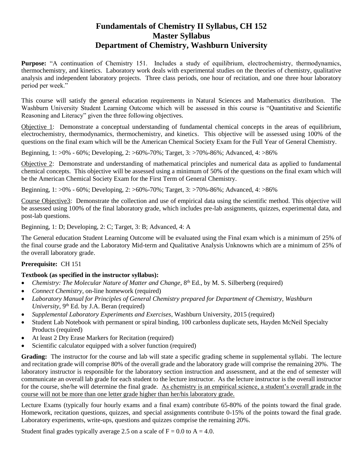## **Fundamentals of Chemistry II Syllabus, CH 152 Master Syllabus Department of Chemistry, Washburn University**

**Purpose:** "A continuation of Chemistry 151. Includes a study of equilibrium, electrochemistry, thermodynamics, thermochemistry, and kinetics. Laboratory work deals with experimental studies on the theories of chemistry, qualitative analysis and independent laboratory projects. Three class periods, one hour of recitation, and one three hour laboratory period per week."

This course will satisfy the general education requirements in Natural Sciences and Mathematics distribution. The Washburn University Student Learning Outcome which will be assessed in this course is "Quantitative and Scientific Reasoning and Literacy" given the three following objectives.

Objective 1: Demonstrate a conceptual understanding of fundamental chemical concepts in the areas of equilibrium, electrochemistry, thermodynamics, thermochemistry, and kinetics. This objective will be assessed using 100% of the questions on the final exam which will be the American Chemical Society Exam for the Full Year of General Chemistry.

Beginning, 1: >0% - 60%; Developing, 2: >60%-70%; Target, 3: >70%-86%; Advanced, 4: >86%

Objective 2: Demonstrate and understanding of mathematical principles and numerical data as applied to fundamental chemical concepts. This objective will be assessed using a minimum of 50% of the questions on the final exam which will be the American Chemical Society Exam for the First Term of General Chemistry.

Beginning, 1: >0% - 60%; Developing, 2: >60%-70%; Target, 3: >70%-86%; Advanced, 4: >86%

Course Objective3: Demonstrate the collection and use of empirical data using the scientific method. This objective will be assessed using 100% of the final laboratory grade, which includes pre-lab assignments, quizzes, experimental data, and post-lab questions.

Beginning, 1: D; Developing, 2: C; Target, 3: B; Advanced, 4: A

The General education Student Learning Outcome will be evaluated using the Final exam which is a minimum of 25% of the final course grade and the Laboratory Mid-term and Qualitative Analysis Unknowns which are a minimum of 25% of the overall laboratory grade.

## **Prerequisite:** CH 151

## **Textbook (as specified in the instructor syllabus):**

- Chemistry: The Molecular Nature of Matter and Change, 8<sup>th</sup> Ed., by M. S. Silberberg (required)
- *Connect Chemistry*, on-line homework (required)
- *Laboratory Manual for Principles of General Chemistry prepared for Department of Chemistry, Washburn*  University, 9<sup>th</sup> Ed. by J.A. Beran (required)
- *Supplemental Laboratory Experiments and Exercises*, Washburn University, 2015 (required)
- Student Lab Notebook with permanent or spiral binding, 100 carbonless duplicate sets, Hayden McNeil Specialty Products (required)
- At least 2 Dry Erase Markers for Recitation (required)
- Scientific calculator equipped with a solver function (required)

**Grading:** The instructor for the course and lab will state a specific grading scheme in supplemental syllabi. The lecture and recitation grade will comprise 80% of the overall grade and the laboratory grade will comprise the remaining 20%. The laboratory instructor is responsible for the laboratory section instruction and assessment, and at the end of semester will communicate an overall lab grade for each student to the lecture instructor. As the lecture instructor is the overall instructor for the course, she/he will determine the final grade. As chemistry is an empirical science, a student's overall grade in the course will not be more than one letter grade higher than her/his laboratory grade.

Lecture Exams (typically four hourly exams and a final exam) contribute 65-80% of the points toward the final grade. Homework, recitation questions, quizzes, and special assignments contribute 0-15% of the points toward the final grade. Laboratory experiments, write-ups, questions and quizzes comprise the remaining 20%.

Student final grades typically average 2.5 on a scale of  $F = 0.0$  to  $A = 4.0$ .